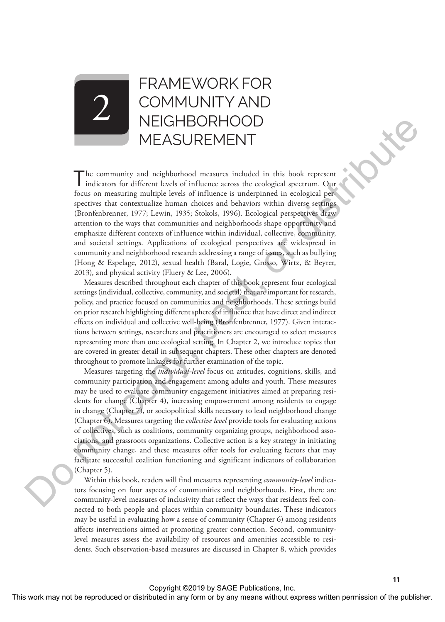# FRAMEWORK FOR COMMUNITY AND **NEIGHBORHOOD** MEASUREMENT

The community and neighborhood measures included in this book represent indicators for different levels of influence across the ecological spectrum. Our focus on measuring multiple levels of influence is underpinned in ecological perspectives that contextualize human choices and behaviors within diverse settings (Bronfenbrenner, 1977; Lewin, 1935; Stokols, 1996). Ecological perspectives draw attention to the ways that communities and neighborhoods shape opportunity and emphasize different contexts of influence within individual, collective, community, and societal settings. Applications of ecological perspectives are widespread in community and neighborhood research addressing a range of issues, such as bullying (Hong & Espelage, 2012), sexual health (Baral, Logie, Grosso, Wirtz, & Beyrer, 2013), and physical activity (Fluery & Lee, 2006). NEGTHSORTHOOD<br>
The community and negligible the relations that the form or by any means with the results and the results of the results and the publisher is a control of the publisher or distributed in a control of the pu

Measures described throughout each chapter of this book represent four ecological settings (individual, collective, community, and societal) that are important for research, policy, and practice focused on communities and neighborhoods. These settings build on prior research highlighting different spheres of influence that have direct and indirect effects on individual and collective well-being (Bronfenbrenner, 1977). Given interactions between settings, researchers and practitioners are encouraged to select measures representing more than one ecological setting. In Chapter 2, we introduce topics that are covered in greater detail in subsequent chapters. These other chapters are denoted throughout to promote linkages for further examination of the topic.

Measures targeting the *individual-level* focus on attitudes, cognitions, skills, and community participation and engagement among adults and youth. These measures may be used to evaluate community engagement initiatives aimed at preparing residents for change (Chapter 4), increasing empowerment among residents to engage in change (Chapter 7), or sociopolitical skills necessary to lead neighborhood change (Chapter 6). Measures targeting the *collective level* provide tools for evaluating actions of collectives, such as coalitions, community organizing groups, neighborhood associations, and grassroots organizations. Collective action is a key strategy in initiating community change, and these measures offer tools for evaluating factors that may facilitate successful coalition functioning and significant indicators of collaboration (Chapter 5).

Within this book, readers will find measures representing *community-level* indicators focusing on four aspects of communities and neighborhoods. First, there are community-level measures of inclusivity that reflect the ways that residents feel connected to both people and places within community boundaries. These indicators may be useful in evaluating how a sense of community (Chapter 6) among residents affects interventions aimed at promoting greater connection. Second, communitylevel measures assess the availability of resources and amenities accessible to residents. Such observation-based measures are discussed in Chapter 8, which provides

2

**11**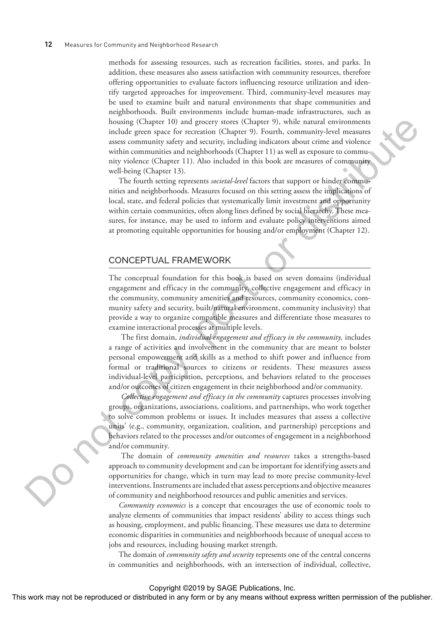methods for assessing resources, such as recreation facilities, stores, and parks. In addition, these measures also assess satisfaction with community resources, therefore offering opportunities to evaluate factors influencing resource utilization and identify targeted approaches for improvement. Third, community-level measures may be used to examine built and natural environments that shape communities and neighborhoods. Built environments include human-made infrastructures, such as housing (Chapter 10) and grocery stores (Chapter 9), while natural environments include green space for recreation (Chapter 9). Fourth, community-level measures assess community safety and security, including indicators about crime and violence within communities and neighborhoods (Chapter 11) as well as exposure to community violence (Chapter 11). Also included in this book are measures of community well-being (Chapter 13).

The fourth setting represents *societal-level* factors that support or hinder communities and neighborhoods. Measures focused on this setting assess the implications of local, state, and federal policies that systematically limit investment and opportunity within certain communities, often along lines defined by social hierarchy. These measures, for instance, may be used to inform and evaluate policy interventions aimed at promoting equitable opportunities for housing and/or employment (Chapter 12).

### CONCEPTUAL FRAMEWORK

The conceptual foundation for this book is based on seven domains (individual engagement and efficacy in the community, collective engagement and efficacy in the community, community amenities and resources, community economics, community safety and security, built/natural environment, community inclusivity) that provide a way to organize compatible measures and differentiate those measures to examine interactional processes at multiple levels.

The first domain, *individual engagement and efficacy in the community,* includes a range of activities and involvement in the community that are meant to bolster personal empowerment and skills as a method to shift power and influence from formal or traditional sources to citizens or residents. These measures assess individual-level participation, perceptions, and behaviors related to the processes and/or outcomes of citizen engagement in their neighborhood and/or community.

*Collective engagement and efficacy in the community* captures processes involving groups, organizations, associations, coalitions, and partnerships, who work together to solve common problems or issues. It includes measures that assess a collective units' (e.g., community, organization, coalition, and partnership) perceptions and behaviors related to the processes and/or outcomes of engagement in a neighborhood and/or community. The computer interaction of the publishering or distributed in any form or by any means with a simulate produced or distributed in any form or by any means when the publisher of the publisher. This publisher, the publish

The domain of *community amenities and resources* takes a strengths-based approach to community development and can be important for identifying assets and opportunities for change, which in turn may lead to more precise community-level interventions. Instruments are included that assess perceptions and objective measures of community and neighborhood resources and public amenities and services.

*Community economics* is a concept that encourages the use of economic tools to analyze elements of communities that impact residents' ability to access things such as housing, employment, and public financing. These measures use data to determine economic disparities in communities and neighborhoods because of unequal access to jobs and resources, including housing market strength.

The domain of *community safety and security* represents one of the central concerns in communities and neighborhoods, with an intersection of individual, collective,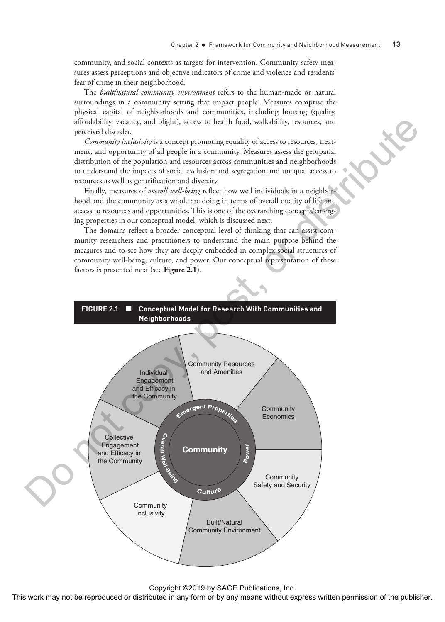community, and social contexts as targets for intervention. Community safety measures assess perceptions and objective indicators of crime and violence and residents' fear of crime in their neighborhood.

The *built/natural community environment* refers to the human-made or natural surroundings in a community setting that impact people. Measures comprise the physical capital of neighborhoods and communities, including housing (quality, affordability, vacancy, and blight), access to health food, walkability, resources, and perceived disorder.

*Community inclusivity* is a concept promoting equality of access to resources, treatment, and opportunity of all people in a community. Measures assess the geospatial distribution of the population and resources across communities and neighborhoods to understand the impacts of social exclusion and segregation and unequal access to resources as well as gentrification and diversity.

Finally, measures of *overall well-being* reflect how well individuals in a neighborhood and the community as a whole are doing in terms of overall quality of life and access to resources and opportunities. This is one of the overarching concepts/emerging properties in our conceptual model, which is discussed next.

The domains reflect a broader conceptual level of thinking that can assist community researchers and practitioners to understand the main purpose behind the measures and to see how they are deeply embedded in complex social structures of community well-being, culture, and power. Our conceptual representation of these factors is presented next (see **Figure 2.1**).

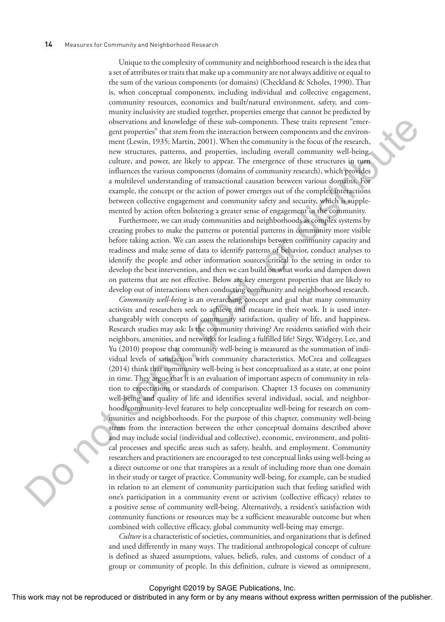Unique to the complexity of community and neighborhood research is the idea that a set of attributes or traits that make up a community are not always additive or equal to the sum of the various components (or domains) (Checkland & Scholes, 1990). That is, when conceptual components, including individual and collective engagement, community resources, economics and built/natural environment, safety, and community inclusivity are studied together, properties emerge that cannot be predicted by observations and knowledge of these sub-components. These traits represent "emergent properties" that stem from the interaction between components and the environment (Lewin, 1935; Martin, 2001). When the community is the focus of the research, new structures, patterns, and properties, including overall community well-being, culture, and power, are likely to appear. The emergence of these structures in turn influences the various components (domains of community research), which provides a multilevel understanding of transactional causation between various domains. For example, the concept or the action of power emerges out of the complex interactions between collective engagement and community safety and security, which is supplemented by action often bolstering a greater sense of engagement in the community.

Furthermore, we can study communities and neighborhoods as complex systems by creating probes to make the patterns or potential patterns in community more visible before taking action. We can assess the relationships between community capacity and readiness and make sense of data to identify patterns of behavior, conduct analyses to identify the people and other information sources critical to the setting in order to develop the best intervention, and then we can build on what works and dampen down on patterns that are not effective. Below are key emergent properties that are likely to develop out of interactions when conducting community and neighborhood research.

*Community well-being* is an overarching concept and goal that many community activists and researchers seek to achieve and measure in their work. It is used interchangeably with concepts of community satisfaction, quality of life, and happiness. Research studies may ask: Is the community thriving? Are residents satisfied with their neighbors, amenities, and networks for leading a fulfilled life? Sirgy, Widgery, Lee, and Yu (2010) propose that community well-being is measured as the summation of individual levels of satisfaction with community characteristics. McCrea and colleagues (2014) think that community well-being is best conceptualized as a state, at one point in time. They argue that it is an evaluation of important aspects of community in relation to expectations or standards of comparison. Chapter 13 focuses on community well-being and quality of life and identifies several individual, social, and neighborhood/community-level features to help conceptualize well-being for research on communities and neighborhoods. For the purpose of this chapter, community well-being stems from the interaction between the other conceptual domains described above and may include social (individual and collective), economic, environment, and political processes and specific areas such as safety, health, and employment. Community researchers and practitioners are encouraged to test conceptual links using well-being as a direct outcome or one that transpires as a result of including more than one domain in their study or target of practice. Community well-being, for example, can be studied in relation to an element of community participation such that feeling satisfied with one's participation in a community event or activism (collective efficacy) relates to a positive sense of community well-being. Alternatively, a resident's satisfaction with community functions or resources may be a sufficient measurable outcome but when combined with collective efficacy, global community well-being may emerge. These may not be repressed or distributed or distributed in any form or by any form or by any form or distributed in any form or  $\sim$   $\sim$  0.000 means with  $\sim$  0.000 means with  $\sim$  0.000 means with  $\sim$  0.000 means with

*Culture* is a characteristic of societies, communities, and organizations that is defined and used differently in many ways. The traditional anthropological concept of culture is defined as shared assumptions, values, beliefs, rules, and customs of conduct of a group or community of people. In this definition, culture is viewed as omnipresent,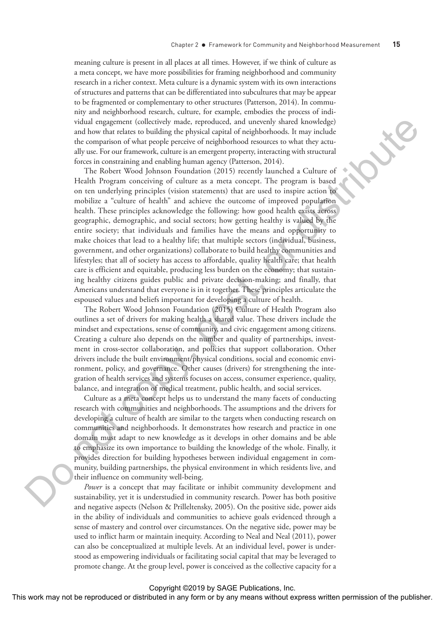meaning culture is present in all places at all times. However, if we think of culture as a meta concept, we have more possibilities for framing neighborhood and community research in a richer context. Meta culture is a dynamic system with its own interactions of structures and patterns that can be differentiated into subcultures that may be appear to be fragmented or complementary to other structures (Patterson, 2014). In community and neighborhood research, culture, for example, embodies the process of individual engagement (collectively made, reproduced, and unevenly shared knowledge) and how that relates to building the physical capital of neighborhoods. It may include the comparison of what people perceive of neighborhood resources to what they actually use. For our framework, culture is an emergent property, interacting with structural forces in constraining and enabling human agency (Patterson, 2014).

The Robert Wood Johnson Foundation (2015) recently launched a Culture of Health Program conceiving of culture as a meta concept. The program is based on ten underlying principles (vision statements) that are used to inspire action to mobilize a "culture of health" and achieve the outcome of improved population health. These principles acknowledge the following: how good health exists across geographic, demographic, and social sectors; how getting healthy is valued by the entire society; that individuals and families have the means and opportunity to make choices that lead to a healthy life; that multiple sectors (individual, business, government, and other organizations) collaborate to build healthy communities and lifestyles; that all of society has access to affordable, quality health care; that health care is efficient and equitable, producing less burden on the economy; that sustaining healthy citizens guides public and private decision-making; and finally, that Americans understand that everyone is in it together. These principles articulate the espoused values and beliefs important for developing a culture of health. Viala shapes per including the production, and inner the state in any form or by any form or by any positive content in any positive content in any positive content in a proposition of the publisher. The publishers are

The Robert Wood Johnson Foundation (2015) Culture of Health Program also outlines a set of drivers for making health a shared value. These drivers include the mindset and expectations, sense of community, and civic engagement among citizens. Creating a culture also depends on the number and quality of partnerships, investment in cross-sector collaboration, and policies that support collaboration. Other drivers include the built environment/physical conditions, social and economic environment, policy, and governance. Other causes (drivers) for strengthening the integration of health services and systems focuses on access, consumer experience, quality, balance, and integration of medical treatment, public health, and social services.

Culture as a meta concept helps us to understand the many facets of conducting research with communities and neighborhoods. The assumptions and the drivers for developing a culture of health are similar to the targets when conducting research on communities and neighborhoods. It demonstrates how research and practice in one domain must adapt to new knowledge as it develops in other domains and be able to emphasize its own importance to building the knowledge of the whole. Finally, it provides direction for building hypotheses between individual engagement in community, building partnerships, the physical environment in which residents live, and their influence on community well-being.

*Power* is a concept that may facilitate or inhibit community development and sustainability, yet it is understudied in community research. Power has both positive and negative aspects (Nelson & Prilleltensky, 2005). On the positive side, power aids in the ability of individuals and communities to achieve goals evidenced through a sense of mastery and control over circumstances. On the negative side, power may be used to inflict harm or maintain inequity. According to Neal and Neal (2011), power can also be conceptualized at multiple levels. At an individual level, power is understood as empowering individuals or facilitating social capital that may be leveraged to promote change. At the group level, power is conceived as the collective capacity for a

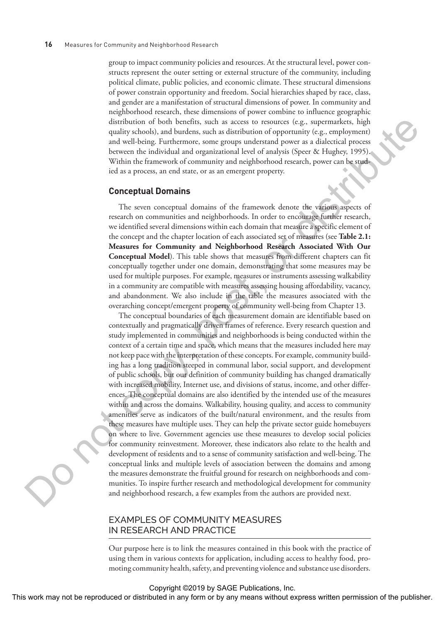group to impact community policies and resources. At the structural level, power constructs represent the outer setting or external structure of the community, including political climate, public policies, and economic climate. These structural dimensions of power constrain opportunity and freedom. Social hierarchies shaped by race, class, and gender are a manifestation of structural dimensions of power. In community and neighborhood research, these dimensions of power combine to influence geographic distribution of both benefits, such as access to resources (e.g., supermarkets, high quality schools), and burdens, such as distribution of opportunity (e.g., employment) and well-being. Furthermore, some groups understand power as a dialectical process between the individual and organizational level of analysis (Speer & Hughey, 1995). Within the framework of community and neighborhood research, power can be studied as a process, an end state, or as an emergent property.

#### **Conceptual Domains**

The seven conceptual domains of the framework denote the various aspects of research on communities and neighborhoods. In order to encourage further research, we identified several dimensions within each domain that measure a specific element of the concept and the chapter location of each associated set of measures (see **Table 2.1: Measures for Community and Neighborhood Research Associated With Our Conceptual Model**). This table shows that measures from different chapters can fit conceptually together under one domain, demonstrating that some measures may be used for multiple purposes. For example, measures or instruments assessing walkability in a community are compatible with measures assessing housing affordability, vacancy, and abandonment. We also include in the table the measures associated with the overarching concept/emergent property of community well-being from Chapter 13.

The conceptual boundaries of each measurement domain are identifiable based on contextually and pragmatically driven frames of reference. Every research question and study implemented in communities and neighborhoods is being conducted within the context of a certain time and space, which means that the measures included here may not keep pace with the interpretation of these concepts. For example, community building has a long tradition steeped in communal labor, social support, and development of public schools, but our definition of community building has changed dramatically with increased mobility, Internet use, and divisions of status, income, and other differences. The conceptual domains are also identified by the intended use of the measures within and across the domains. Walkability, housing quality, and access to community amenities serve as indicators of the built/natural environment, and the results from these measures have multiple uses. They can help the private sector guide homebuyers on where to live. Government agencies use these measures to develop social policies for community reinvestment. Moreover, these indicators also relate to the health and development of residents and to a sense of community satisfaction and well-being. The conceptual links and multiple levels of association between the domains and among the measures demonstrate the fruitful ground for research on neighborhoods and communities. To inspire further research and methodological development for community and neighborhood research, a few examples from the authors are provided next. This work may not be reproduced or distribution of the representation of the reproduced or the reproduced or the results of the publisher. This work may not be reproduced in any means were distributed in any means with th

# EXAMPLES OF COMMUNITY MEASURES IN RESEARCH AND PRACTICE

Our purpose here is to link the measures contained in this book with the practice of using them in various contexts for application, including access to healthy food, promoting community health, safety, and preventing violence and substance use disorders.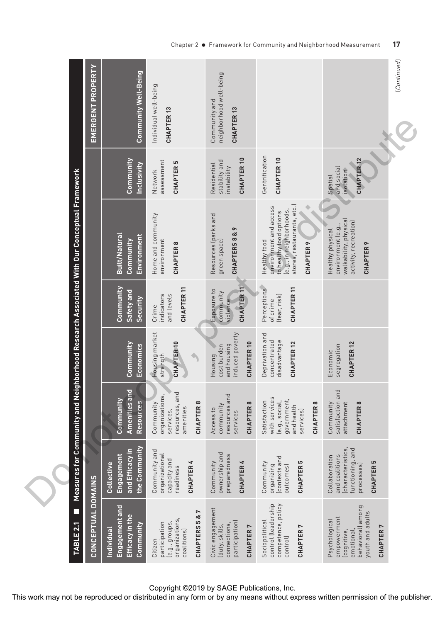| <b>EMERGENT PROPERTY</b>                                                | <b>Community Well-Being</b>                                         | Individual well-being<br>CHAPTER <sub>13</sub>                                                               | neighborhood well-being<br>Community and<br>CHAPTER <sub>13</sub>                            |                                                                                                                                                | [Continued]                                                                                                               |
|-------------------------------------------------------------------------|---------------------------------------------------------------------|--------------------------------------------------------------------------------------------------------------|----------------------------------------------------------------------------------------------|------------------------------------------------------------------------------------------------------------------------------------------------|---------------------------------------------------------------------------------------------------------------------------|
|                                                                         | Community<br>Inclusivity                                            | assessment<br>CHAPTER <sub>5</sub><br>Network                                                                | CHAPTER <sub>10</sub><br>stability and<br>Residential<br>instability                         | Gentrification<br>CHAPTER <sub>10</sub>                                                                                                        | CHAPTER <sub>12</sub><br>and social<br>isolation<br>Spatial                                                               |
| nity and Neighborhood Research Associated With Our Conceptual Framework | Built/Natural<br>Environment<br>Community                           | Home and community<br>environment<br>CHAPTER8                                                                | Resources (parks and<br>$\sim$<br>CHAPTERS 8 &<br>green space)                               | stores, restaurants, etc.)<br>environment and access<br>le.g., in neighborhoods,<br>to healthy food options<br>Healthy food<br><b>CHAPTER9</b> | walkability, physical<br>activity, recreation)<br>environment (e.g.,<br>Healthy physical<br><b>CHAPTER9</b>               |
|                                                                         | Community<br>Safety and<br>Security                                 | CHAPTER <sub>11</sub><br>and levels<br>indicators<br>Crime                                                   | CHAPTER <sub>11</sub><br>Exposure to<br>community<br>violence                                | Perceptions<br>CHAPTER <sub>11</sub><br>[fear, risk]<br>of crime                                                                               |                                                                                                                           |
|                                                                         | Community<br>Economics                                              | Housing market<br>CHAPTER <sub>10</sub><br>strength                                                          | induced poverty<br>CHAPTER <sub>10</sub><br>and housing<br>cost burden<br>Housing            | Deprivation and<br>disadvantage<br>concentrated<br>CHAPTER <sub>12</sub>                                                                       | CHAPTER <sub>12</sub><br>segregation<br>Economic                                                                          |
|                                                                         | Amenities and<br>Community<br><b>Sanutces</b><br><u>ဇိ</u>          | resources, and<br>organizations,<br>CHAPTER 8<br>Community<br>amenities<br>services,                         | resources and<br>CHAPTER <sub>8</sub><br>community<br>Access to<br>services                  | with services<br>government,<br>Satisfaction<br>(e.g., social,<br>CHAPTER 8<br>and health<br>services)                                         | satisfaction and<br>Community<br>attachment<br>CHAPTER <sub>8</sub>                                                       |
| Measures for Commu                                                      | the Community<br>and Efficacy in<br><u>Engagement</u><br>Collective | Community and<br>organizational<br>capacity and<br><b>CHAPTER 4</b><br>readiness                             | ownership and<br>preparedness<br><b>CHAPTER 4</b><br>Community                               | contexts and<br>CHAPTER <sub>5</sub><br>Community<br>organizing<br>outcomes)                                                                   | functioning, and<br>(characteristics<br>and coalitions<br>Collaboration<br>S<br>processes)<br><b>CHAPTER</b>              |
| CONCEPTUAL DOMAINS<br>TABLE <sub>2.1</sub>                              | Engagement and<br>Efficacy in the<br>Community<br>Individual        | $\alpha$ 7<br>organizations<br><b>CHAPTERS5</b><br>le.g., groups,<br>participation<br>coalitions)<br>Citizen | Civic engagement<br>participation]<br>connections,<br>(duty, skills,<br>CHAPTER <sub>7</sub> | competence, policy<br>control (leadership<br>Sociopolitical<br>r<br><b>CHAPTER</b><br>control)                                                 | behavioral) among<br>youth and adults<br>empowerment<br>Psychological<br>CHAPTER <sub>7</sub><br>lcognitive,<br>emotional |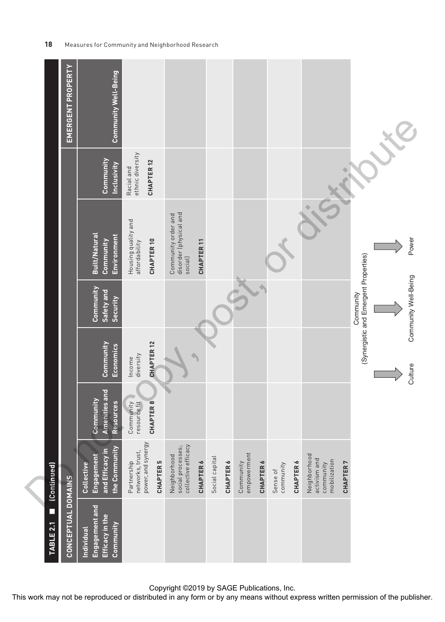|                                       |             | <b>Community Well-Being</b>                                  |                                                                          |                                                          |                       |                |                          |                  |                       |                                                           |                 |                                                                            |
|---------------------------------------|-------------|--------------------------------------------------------------|--------------------------------------------------------------------------|----------------------------------------------------------|-----------------------|----------------|--------------------------|------------------|-----------------------|-----------------------------------------------------------|-----------------|----------------------------------------------------------------------------|
|                                       |             | Community<br><b>Inclusivity</b>                              | ethnic diversity<br>CHAPTER <sub>12</sub><br>Racial and                  |                                                          |                       |                |                          |                  |                       |                                                           |                 |                                                                            |
|                                       |             | Built/Natural<br>Environment<br>Community                    | Housing quality and<br>affordability<br>CHAPTER <sub>10</sub>            | disorder (physical and<br>Community order and<br>social) | CHAPTER <sub>11</sub> |                |                          |                  |                       |                                                           |                 | Power                                                                      |
|                                       |             | Community<br>Safety and<br>Security                          |                                                                          |                                                          |                       |                |                          |                  |                       |                                                           |                 | (Synergistic and Emergent Properties)<br>Community Well-Being<br>Community |
|                                       |             | Community<br>Economics                                       | CHAPTER <sub>12</sub><br>diversity<br>Income                             |                                                          |                       |                |                          |                  |                       |                                                           |                 | Culture                                                                    |
|                                       |             | Amenities and<br>Community<br>Resources                      | Community<br>resource fit<br>CHAPTER 8                                   |                                                          |                       |                |                          |                  |                       |                                                           |                 |                                                                            |
|                                       |             | the Community<br>and Efficacy in<br>Engagement<br>Collective | power, and synergy<br>networks, trust,<br>Partnership<br><b>CHAPTER5</b> | collective efficacy<br>social processes;<br>Neighborhood | <b>CHAPTER 6</b>      | Social capital | empowerment<br>Community | <b>CHAPTER6</b>  | community<br>Sense of | Neighborhood<br>activism and<br>mobilization<br>community | <b>CHAPTER7</b> |                                                                            |
| $\overline{\phantom{a}}$<br>TABLE 2.1 |             | Engagement and<br>Efficacy in the<br>Community<br>Individual |                                                                          |                                                          |                       |                |                          |                  |                       |                                                           |                 |                                                                            |
|                                       | (Continued) | <b>EMERGENT PROPERTY</b><br>CONCEPTUAL DOMAINS               |                                                                          |                                                          |                       |                |                          | <b>CHAPTER 6</b> |                       |                                                           | <b>CHAPTER6</b> |                                                                            |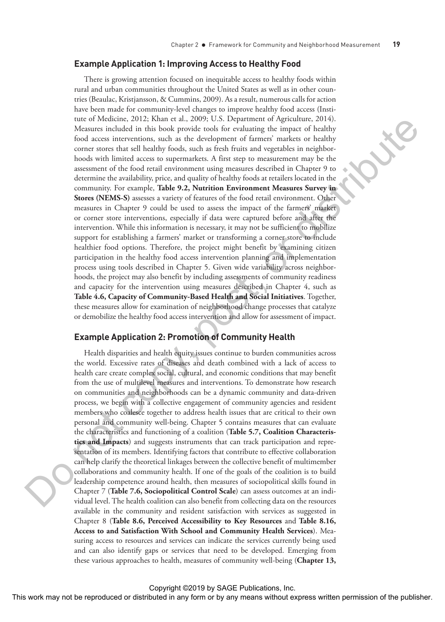#### **Example Application 1: Improving Access to Healthy Food**

There is growing attention focused on inequitable access to healthy foods within rural and urban communities throughout the United States as well as in other countries (Beaulac, Kristjansson, & Cummins, 2009). As a result, numerous calls for action have been made for community-level changes to improve healthy food access (Institute of Medicine, 2012; Khan et al., 2009; U.S. Department of Agriculture, 2014). Measures included in this book provide tools for evaluating the impact of healthy food access interventions, such as the development of farmers' markets or healthy corner stores that sell healthy foods, such as fresh fruits and vegetables in neighborhoods with limited access to supermarkets. A first step to measurement may be the assessment of the food retail environment using measures described in Chapter 9 to determine the availability, price, and quality of healthy foods at retailers located in the community. For example, **Table 9.2, Nutrition Environment Measures Survey in Stores (NEMS-S)** assesses a variety of features of the food retail environment. Other measures in Chapter 9 could be used to assess the impact of the farmers' market or corner store interventions, especially if data were captured before and after the intervention. While this information is necessary, it may not be sufficient to mobilize support for establishing a farmers' market or transforming a corner store to include healthier food options. Therefore, the project might benefit by examining citizen participation in the healthy food access intervention planning and implementation process using tools described in Chapter 5. Given wide variability across neighborhoods, the project may also benefit by including assessments of community readiness and capacity for the intervention using measures described in Chapter 4, such as **Table 4.6, Capacity of Community-Based Health and Social Initiatives**. Together, these measures allow for examination of neighborhood change processes that catalyze or demobilize the healthy food access intervention and allow for assessment of impact.

### **Example Application 2: Promotion of Community Health**

Health disparities and health equity issues continue to burden communities across the world. Excessive rates of diseases and death combined with a lack of access to health care create complex social, cultural, and economic conditions that may benefit from the use of multilevel measures and interventions. To demonstrate how research on communities and neighborhoods can be a dynamic community and data-driven process, we begin with a collective engagement of community agencies and resident members who coalesce together to address health issues that are critical to their own personal and community well-being. Chapter 5 contains measures that can evaluate the characteristics and functioning of a coalition (**Table 5.7, Coalition Characteristics and Impacts**) and suggests instruments that can track participation and representation of its members. Identifying factors that contribute to effective collaboration can help clarify the theoretical linkages between the collective benefit of multimember collaborations and community health. If one of the goals of the coalition is to build leadership competence around health, then measures of sociopolitical skills found in Chapter 7 (**Table 7.6, Sociopolitical Control Scale**) can assess outcomes at an individual level. The health coalition can also benefit from collecting data on the resources available in the community and resident satisfaction with services as suggested in Chapter 8 (**Table 8.6, Perceived Accessibility to Key Resources** and **Table 8.16, Access to and Satisfaction With School and Community Health Services**). Measuring access to resources and services can indicate the services currently being used and can also identify gaps or services that need to be developed. Emerging from these various approaches to health, measures of community well-being (**Chapter 13,**  The or distributed in any field of the reproduced or distributed in any field or distributed in any form or by any means we also the reproduced in any form or by any means we also the field of the publisher. The state of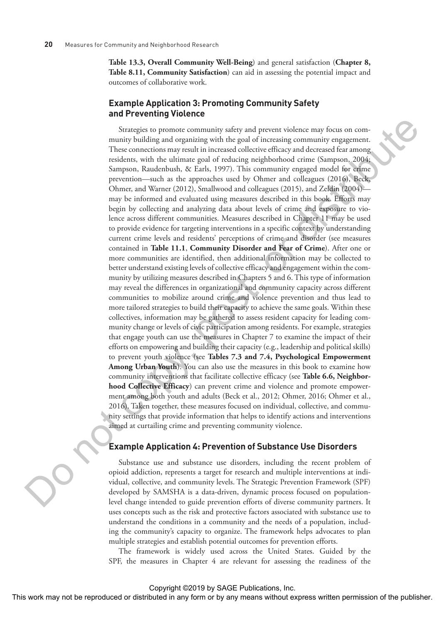**Table 13.3, Overall Community Well-Being**) and general satisfaction (**Chapter 8, Table 8.11, Community Satisfaction**) can aid in assessing the potential impact and outcomes of collaborative work.

## **Example Application 3: Promoting Community Safety and Preventing Violence**

Strategies to promote community safety and prevent violence may focus on community building and organizing with the goal of increasing community engagement. These connections may result in increased collective efficacy and decreased fear among residents, with the ultimate goal of reducing neighborhood crime (Sampson, 2004; Sampson, Raudenbush, & Earls, 1997). This community engaged model for crime prevention—such as the approaches used by Ohmer and colleagues (2016), Beck, Ohmer, and Warner (2012), Smallwood and colleagues (2015), and Zeldin (2004) may be informed and evaluated using measures described in this book. Efforts may begin by collecting and analyzing data about levels of crime and exposure to violence across different communities. Measures described in Chapter 11 may be used to provide evidence for targeting interventions in a specific context by understanding current crime levels and residents' perceptions of crime and disorder (see measures contained in **Table 11.1**, **Community Disorder and Fear of Crime**). After one or more communities are identified, then additional information may be collected to better understand existing levels of collective efficacy and engagement within the community by utilizing measures described in Chapters 5 and 6. This type of information may reveal the differences in organizational and community capacity across different communities to mobilize around crime and violence prevention and thus lead to more tailored strategies to build their capacity to achieve the same goals. Within these collectives, information may be gathered to assess resident capacity for leading community change or levels of civic participation among residents. For example, strategies that engage youth can use the measures in Chapter 7 to examine the impact of their efforts on empowering and building their capacity (e.g., leadership and political skills) to prevent youth violence (see **Tables 7.3 and 7.4, Psychological Empowerment Among Urban Youth**). You can also use the measures in this book to examine how community interventions that facilitate collective efficacy (see **Table 6.6, Neighborhood Collective Efficacy**) can prevent crime and violence and promote empowerment among both youth and adults (Beck et al., 2012; Ohmer, 2016; Ohmer et al., 2016). Taken together, these measures focused on individual, collective, and community settings that provide information that helps to identify actions and interventions aimed at curtailing crime and preventing community violence. Simple are the rest may not be repressed to the repression or the publisher. The rest constraints were constraints with the interaction of the publisher of the publisher. Also, the publisher of the publisher of the publis

# **Example Application 4: Prevention of Substance Use Disorders**

Substance use and substance use disorders, including the recent problem of opioid addiction, represents a target for research and multiple interventions at individual, collective, and community levels. The Strategic Prevention Framework (SPF) developed by SAMSHA is a data-driven, dynamic process focused on populationlevel change intended to guide prevention efforts of diverse community partners. It uses concepts such as the risk and protective factors associated with substance use to understand the conditions in a community and the needs of a population, including the community's capacity to organize. The framework helps advocates to plan multiple strategies and establish potential outcomes for prevention efforts.

The framework is widely used across the United States. Guided by the SPF, the measures in Chapter 4 are relevant for assessing the readiness of the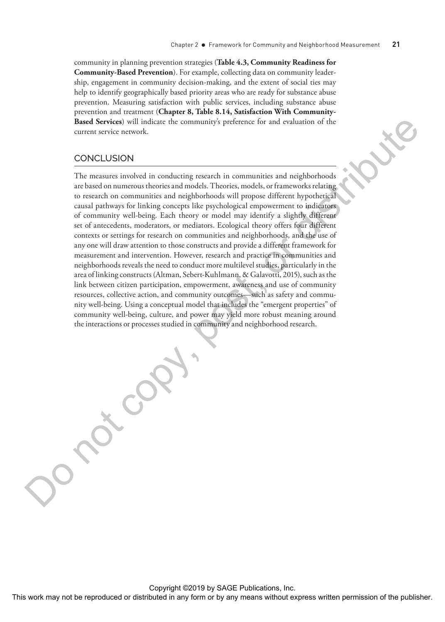community in planning prevention strategies (**Table 4.3, Community Readiness for Community-Based Prevention**). For example, collecting data on community leadership, engagement in community decision-making, and the extent of social ties may help to identify geographically based priority areas who are ready for substance abuse prevention. Measuring satisfaction with public services, including substance abuse prevention and treatment (**Chapter 8, Table 8.14, Satisfaction With Community-Based Services**) will indicate the community's preference for and evaluation of the current service network.

# CONCLUSION

The measures involved in conducting research in communities and neighborhoods are based on numerous theories and models. Theories, models, or frameworks relating to research on communities and neighborhoods will propose different hypothetical causal pathways for linking concepts like psychological empowerment to indicators of community well-being. Each theory or model may identify a slightly different set of antecedents, moderators, or mediators. Ecological theory offers four different contexts or settings for research on communities and neighborhoods, and the use of any one will draw attention to those constructs and provide a different framework for measurement and intervention. However, research and practice in communities and neighborhoods reveals the need to conduct more multilevel studies, particularly in the area of linking constructs (Altman, Sebert-Kuhlmann, & Galavotti, 2015), such as the link between citizen participation, empowerment, awareness and use of community resources, collective action, and community outcomes—such as safety and community well-being. Using a conceptual model that includes the "emergent properties" of community well-being, culture, and power may yield more robust meaning around the interactions or processes studied in community and neighborhood research. **The repressed of the reproduced or distributed in any form of the reproduced or distributed in any form of the computer or distributed in any means without express the publisher. The reproduced in any form of the publish**